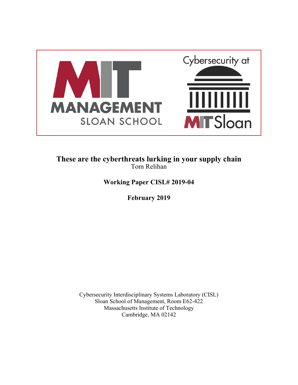

### **These are the cyberthreats lurking in your supply chain**  Tom Relihan

### **Working Paper CISL# 2019-04**

**February 2019** 

Cybersecurity Interdisciplinary Systems Laboratory (CISL) Sloan School of Management, Room E62-422 Massachusetts Institute of Technology Cambridge, MA 02142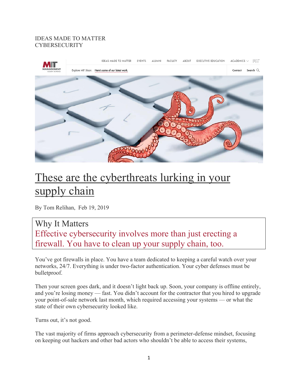#### IDEAS MADE TO MATTER **CYBERSECURITY**



# These are the cyberthreats lurking in your supply chain

By Tom Relihan, Feb 19, 2019

## Why It Matters Effective cybersecurity involves more than just erecting a firewall. You have to clean up your supply chain, too.

You've got firewalls in place. You have a team dedicated to keeping a careful watch over your networks, 24/7. Everything is under two-factor authentication. Your cyber defenses must be bulletproof.

Then your screen goes dark, and it doesn't light back up. Soon, your company is offline entirely, and you're losing money — fast. You didn't account for the contractor that you hired to upgrade your point-of-sale network last month, which required accessing your systems — or what the state of their own cybersecurity looked like.

Turns out, it's not good.

The vast majority of firms approach cybersecurity from a perimeter-defense mindset, focusing on keeping out hackers and other bad actors who shouldn't be able to access their systems,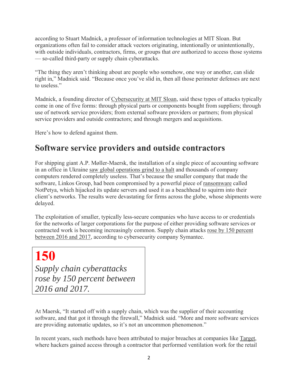according to Stuart Madnick, a professor of information technologies at MIT Sloan. But organizations often fail to consider attack vectors originating, intentionally or unintentionally, with outside individuals, contractors, firms, or groups that *are* authorized to access those systems — so-called third-party or supply chain cyberattacks.

"The thing they aren't thinking about are people who somehow, one way or another, can slide right in," Madnick said. "Because once you've slid in, then all those perimeter defenses are next to useless."

Madnick, a founding director of Cybersecurity at MIT Sloan, said these types of attacks typically come in one of five forms: through physical parts or components bought from suppliers; through use of network service providers; from external software providers or partners; from physical service providers and outside contractors; and through mergers and acquisitions.

Here's how to defend against them.

## **Software service providers and outside contractors**

For shipping giant A.P. Møller-Maersk, the installation of a single piece of accounting software in an office in Ukraine saw global operations grind to a halt and thousands of company computers rendered completely useless. That's because the smaller company that made the software, Linkos Group, had been compromised by a powerful piece of ransomware called NotPetya, which hijacked its update servers and used it as a beachhead to squirm into their client's networks. The results were devastating for firms across the globe, whose shipments were delayed.

The exploitation of smaller, typically less-secure companies who have access to or credentials for the networks of larger corporations for the purpose of either providing software services or contracted work is becoming increasingly common. Supply chain attacks rose by 150 percent between 2016 and 2017, according to cybersecurity company Symantec.

## **150**

*Supply chain cyberattacks rose by 150 percent between 2016 and 2017.*

At Maersk, "It started off with a supply chain, which was the supplier of their accounting software, and that got it through the firewall," Madnick said. "More and more software services are providing automatic updates, so it's not an uncommon phenomenon."

In recent years, such methods have been attributed to major breaches at companies like Target, where hackers gained access through a contractor that performed ventilation work for the retail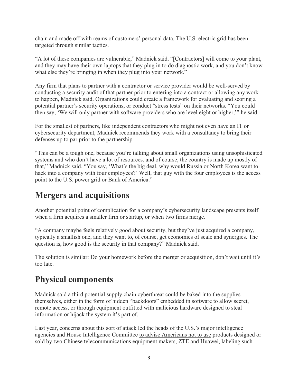chain and made off with reams of customers' personal data. The U.S. electric grid has been targeted through similar tactics.

"A lot of these companies are vulnerable," Madnick said. "[Contractors] will come to your plant, and they may have their own laptops that they plug in to do diagnostic work, and you don't know what else they're bringing in when they plug into your network."

Any firm that plans to partner with a contractor or service provider would be well-served by conducting a security audit of that partner prior to entering into a contract or allowing any work to happen, Madnick said. Organizations could create a framework for evaluating and scoring a potential partner's security operations, or conduct "stress tests" on their networks. "You could then say, 'We will only partner with software providers who are level eight or higher,'" he said.

For the smallest of partners, like independent contractors who might not even have an IT or cybersecurity department, Madnick recommends they work with a consultancy to bring their defenses up to par prior to the partnership.

"This can be a tough one, because you're talking about small organizations using unsophisticated systems and who don't have a lot of resources, and of course, the country is made up mostly of that," Madnick said. "You say, 'What's the big deal, why would Russia or North Korea want to hack into a company with four employees?' Well, that guy with the four employees is the access point to the U.S. power grid or Bank of America."

## **Mergers and acquisitions**

Another potential point of complication for a company's cybersecurity landscape presents itself when a firm acquires a smaller firm or startup, or when two firms merge.

"A company maybe feels relatively good about security, but they've just acquired a company, typically a smallish one, and they want to, of course, get economies of scale and synergies. The question is, how good is the security in that company?" Madnick said.

The solution is similar: Do your homework before the merger or acquisition, don't wait until it's too late.

## **Physical components**

Madnick said a third potential supply chain cyberthreat could be baked into the supplies themselves, either in the form of hidden "backdoors" embedded in software to allow secret, remote access, or through equipment outfitted with malicious hardware designed to steal information or hijack the system it's part of.

Last year, concerns about this sort of attack led the heads of the U.S.'s major intelligence agencies and House Intelligence Committee to advise Americans not to use products designed or sold by two Chinese telecommunications equipment makers, ZTE and Huawei, labeling such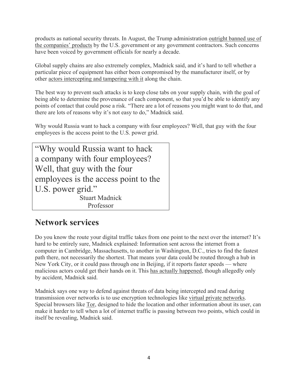products as national security threats. In August, the Trump administration outright banned use of the companies' products by the U.S. government or any government contractors. Such concerns have been voiced by government officials for nearly a decade.

Global supply chains are also extremely complex, Madnick said, and it's hard to tell whether a particular piece of equipment has either been compromised by the manufacturer itself, or by other actors intercepting and tampering with it along the chain.

The best way to prevent such attacks is to keep close tabs on your supply chain, with the goal of being able to determine the provenance of each component, so that you'd be able to identify any points of contact that could pose a risk. "There are a lot of reasons you might want to do that, and there are lots of reasons why it's not easy to do," Madnick said.

Why would Russia want to hack a company with four employees? Well, that guy with the four employees is the access point to the U.S. power grid.

"Why would Russia want to hack a company with four employees? Well, that guy with the four employees is the access point to the U.S. power grid." Stuart Madnick Professor

## **Network services**

Do you know the route your digital traffic takes from one point to the next over the internet? It's hard to be entirely sure, Madnick explained: Information sent across the internet from a computer in Cambridge, Massachusetts, to another in Washington, D.C., tries to find the fastest path there, not necessarily the shortest. That means your data could be routed through a hub in New York City, or it could pass through one in Beijing, if it reports faster speeds — where malicious actors could get their hands on it. This has actually happened, though allegedly only by accident, Madnick said.

Madnick says one way to defend against threats of data being intercepted and read during transmission over networks is to use encryption technologies like virtual private networks. Special browsers like Tor, designed to hide the location and other information about its user, can make it harder to tell when a lot of internet traffic is passing between two points, which could in itself be revealing, Madnick said.